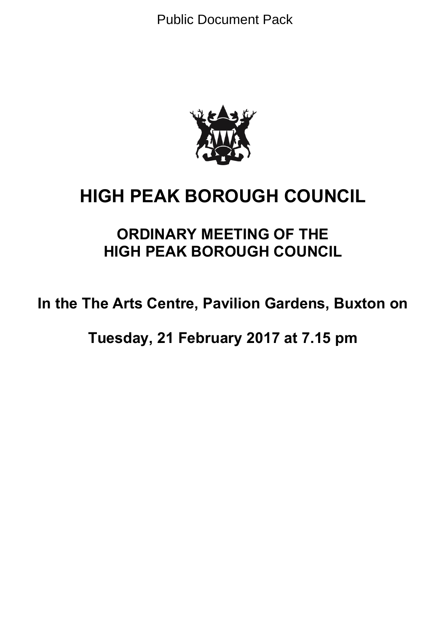Public Document Pack



# **HIGH PEAK BOROUGH COUNCIL**

## **ORDINARY MEETING OF THE HIGH PEAK BOROUGH COUNCIL**

**In the The Arts Centre, Pavilion Gardens, Buxton on**

**Tuesday, 21 February 2017 at 7.15 pm**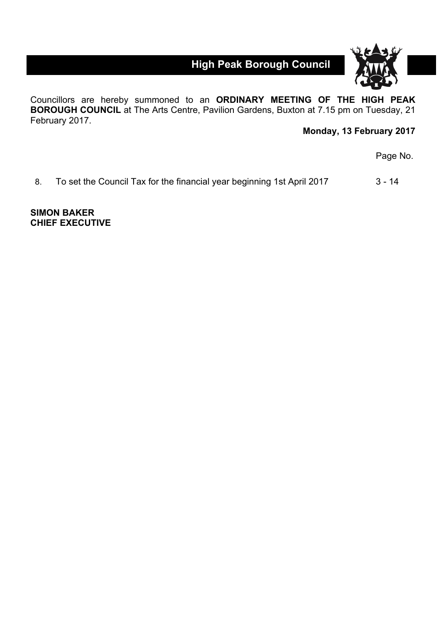**High Peak Borough Council**



Councillors are hereby summoned to an **ORDINARY MEETING OF THE HIGH PEAK BOROUGH COUNCIL** at The Arts Centre, Pavilion Gardens, Buxton at 7.15 pm on Tuesday, 21 February 2017.

## **Monday, 13 February 2017**

Page No.

8. To set the Council Tax for the financial year beginning 1st April 2017 3 - 14

**SIMON BAKER CHIEF EXECUTIVE**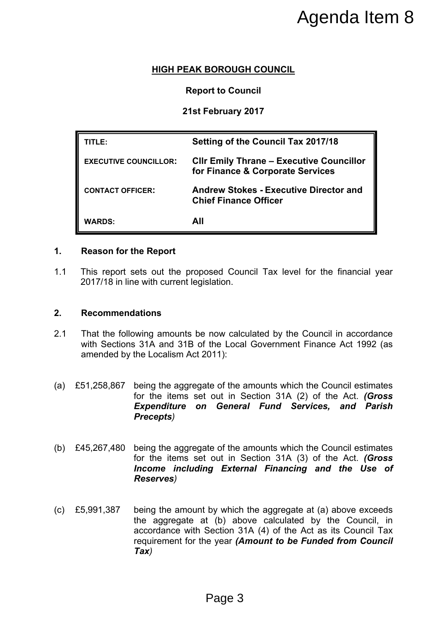## **HIGH PEAK BOROUGH COUNCIL**

#### **Report to Council**

## **21st February 2017**

|                                                        |                                           | Agenda Item 8                                                                                                                                                                                                                                           |
|--------------------------------------------------------|-------------------------------------------|---------------------------------------------------------------------------------------------------------------------------------------------------------------------------------------------------------------------------------------------------------|
|                                                        |                                           | <b>HIGH PEAK BOROUGH COUNCIL</b>                                                                                                                                                                                                                        |
|                                                        |                                           | <b>Report to Council</b>                                                                                                                                                                                                                                |
|                                                        |                                           | 21st February 2017                                                                                                                                                                                                                                      |
|                                                        |                                           |                                                                                                                                                                                                                                                         |
| TITLE:                                                 |                                           | <b>Setting of the Council Tax 2017/18</b>                                                                                                                                                                                                               |
|                                                        | <b>EXECUTIVE COUNCILLOR:</b>              | <b>CIIr Emily Thrane - Executive Councillor</b><br>for Finance & Corporate Services                                                                                                                                                                     |
| <b>CONTACT OFFICER:</b>                                |                                           | <b>Andrew Stokes - Executive Director and</b><br><b>Chief Finance Officer</b>                                                                                                                                                                           |
| <b>WARDS:</b>                                          |                                           | All                                                                                                                                                                                                                                                     |
| <b>Reason for the Report</b><br><b>Recommendations</b> | 2017/18 in line with current legislation. | This report sets out the proposed Council Tax level for the financial year                                                                                                                                                                              |
|                                                        |                                           |                                                                                                                                                                                                                                                         |
|                                                        | amended by the Localism Act 2011):        | That the following amounts be now calculated by the Council in accordance<br>with Sections 31A and 31B of the Local Government Finance Act 1992 (as                                                                                                     |
| £51,258,867                                            | Precepts)                                 | being the aggregate of the amounts which the Council estimates<br>for the items set out in Section 31A (2) of the Act. (Gross<br><b>Expenditure on General Fund Services, and Parish</b>                                                                |
| £45,267,480                                            | <b>Reserves</b> )                         | being the aggregate of the amounts which the Council estimates<br>for the items set out in Section 31A (3) of the Act. (Gross<br>Income including External Financing and the Use of                                                                     |
| £5,991,387                                             | $\boldsymbol{Tax}$                        | being the amount by which the aggregate at (a) above exceeds<br>the aggregate at (b) above calculated by the Council, in<br>accordance with Section 31A (4) of the Act as its Council Tax<br>requirement for the year (Amount to be Funded from Council |
|                                                        |                                           | Page 3                                                                                                                                                                                                                                                  |

#### **1. Reason for the Report**

1.1 This report sets out the proposed Council Tax level for the financial year 2017/18 in line with current legislation.

#### **2. Recommendations**

- 2.1 That the following amounts be now calculated by the Council in accordance with Sections 31A and 31B of the Local Government Finance Act 1992 (as amended by the Localism Act 2011):
- (a) £51,258,867 being the aggregate of the amounts which the Council estimates for the items set out in Section 31A (2) of the Act. *(Gross Expenditure on General Fund Services, and Parish Precepts)*
- (b) £45,267,480 being the aggregate of the amounts which the Council estimates for the items set out in Section 31A (3) of the Act. *(Gross Income including External Financing and the Use of Reserves)*
- (c) £5,991,387 being the amount by which the aggregate at (a) above exceeds the aggregate at (b) above calculated by the Council, in accordance with Section 31A (4) of the Act as its Council Tax requirement for the year *(Amount to be Funded from Council Tax)*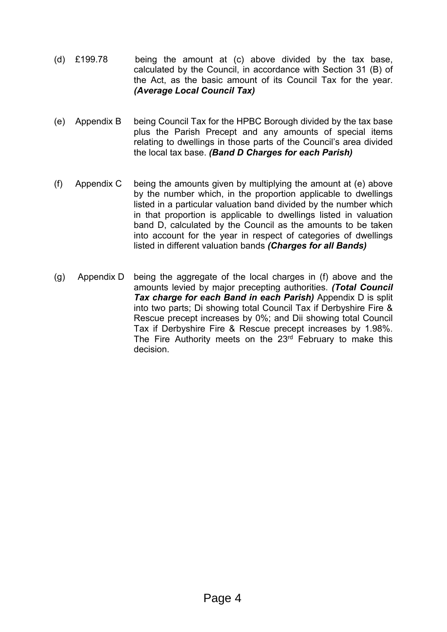- (d) £199.78 being the amount at (c) above divided by the tax base, calculated by the Council, in accordance with Section 31 (B) of the Act, as the basic amount of its Council Tax for the year. *(Average Local Council Tax)*
- (e) Appendix B being Council Tax for the HPBC Borough divided by the tax base plus the Parish Precept and any amounts of special items relating to dwellings in those parts of the Council's area divided the local tax base. *(Band D Charges for each Parish)*
- (f) Appendix C being the amounts given by multiplying the amount at (e) above by the number which, in the proportion applicable to dwellings listed in a particular valuation band divided by the number which in that proportion is applicable to dwellings listed in valuation band D, calculated by the Council as the amounts to be taken into account for the year in respect of categories of dwellings listed in different valuation bands *(Charges for all Bands)*
- (g) Appendix D being the aggregate of the local charges in (f) above and the amounts levied by major precepting authorities. *(Total Council Tax charge for each Band in each Parish)* Appendix D is split into two parts; Di showing total Council Tax if Derbyshire Fire & Rescue precept increases by 0%; and Dii showing total Council Tax if Derbyshire Fire & Rescue precept increases by 1.98%. The Fire Authority meets on the 23<sup>rd</sup> February to make this decision.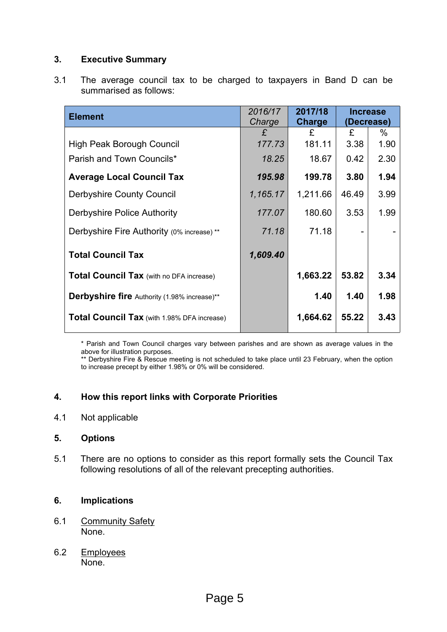## **3. Executive Summary**

3.1 The average council tax to be charged to taxpayers in Band D can be summarised as follows:

| <b>Element</b>                                      | 2016/17<br>Charge | 2017/18<br>Charge | <b>Increase</b><br>(Decrease) |      |
|-----------------------------------------------------|-------------------|-------------------|-------------------------------|------|
|                                                     | £                 | £                 | £                             | %    |
| <b>High Peak Borough Council</b>                    | 177.73            | 181.11            | 3.38                          | 1.90 |
| Parish and Town Councils*                           | 18.25             | 18.67             | 0.42                          | 2.30 |
| <b>Average Local Council Tax</b>                    | 195.98            | 199.78            | 3.80                          | 1.94 |
| <b>Derbyshire County Council</b>                    | 1,165.17          | 1,211.66          | 46.49                         | 3.99 |
| Derbyshire Police Authority                         | 177.07            | 180.60            | 3.53                          | 1.99 |
| Derbyshire Fire Authority (0% increase) **          | 71.18             | 71.18             |                               |      |
| <b>Total Council Tax</b>                            | 1,609.40          |                   |                               |      |
| <b>Total Council Tax (with no DFA increase)</b>     |                   | 1,663.22          | 53.82                         | 3.34 |
| <b>Derbyshire fire</b> Authority (1.98% increase)** |                   | 1.40              | 1.40                          | 1.98 |
| <b>Total Council Tax</b> (with 1.98% DFA increase)  |                   | 1,664.62          | 55.22                         | 3.43 |

\* Parish and Town Council charges vary between parishes and are shown as average values in the above for illustration purposes.

\*\* Derbyshire Fire & Rescue meeting is not scheduled to take place until 23 February, when the option to increase precept by either 1.98% or 0% will be considered.

#### **4. How this report links with Corporate Priorities**

4.1 Not applicable

#### **5. Options**

5.1 There are no options to consider as this report formally sets the Council Tax following resolutions of all of the relevant precepting authorities.

#### **6. Implications**

- 6.1 Community Safety None.
- 6.2 Employees None.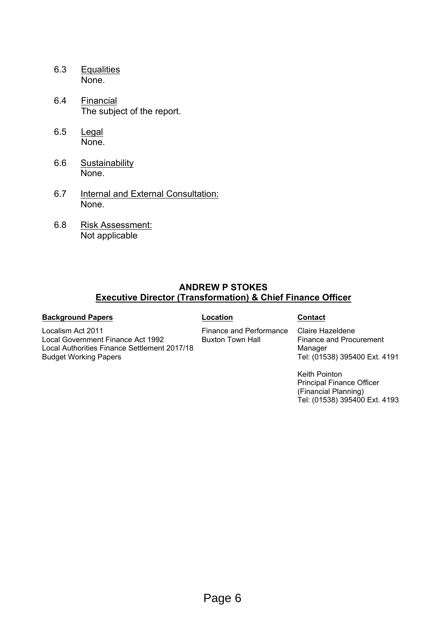- 6.3 Equalities None.
- 6.4 Financial The subject of the report.
- 6.5 Legal None.
- 6.6 Sustainability None.
- 6.7 Internal and External Consultation: None.
- 6.8 Risk Assessment: Not applicable

Local Authorities Finance Settlement 2017/18

#### **ANDREW P STOKES Executive Director (Transformation) & Chief Finance Officer**

#### **Background Papers Contact**

Budget Working Papers

Localism Act 2011

Local Government Finance Act 1992

Finance and Performance Buxton Town Hall

Claire Hazeldene Finance and Procurement Manager Tel: (01538) 395400 Ext. 4191

Keith Pointon Principal Finance Officer (Financial Planning) Tel: (01538) 395400 Ext. 4193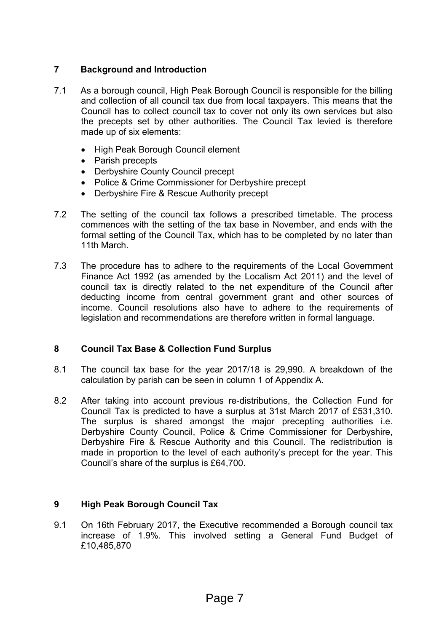## **7 Background and Introduction**

- 7.1 As a borough council, High Peak Borough Council is responsible for the billing and collection of all council tax due from local taxpayers. This means that the Council has to collect council tax to cover not only its own services but also the precepts set by other authorities. The Council Tax levied is therefore made up of six elements:
	- High Peak Borough Council element
	- Parish precepts
	- Derbyshire County Council precept
	- Police & Crime Commissioner for Derbyshire precept
	- Derbyshire Fire & Rescue Authority precept
- 7.2 The setting of the council tax follows a prescribed timetable. The process commences with the setting of the tax base in November, and ends with the formal setting of the Council Tax, which has to be completed by no later than 11th March.
- 7.3 The procedure has to adhere to the requirements of the Local Government Finance Act 1992 (as amended by the Localism Act 2011) and the level of council tax is directly related to the net expenditure of the Council after deducting income from central government grant and other sources of income. Council resolutions also have to adhere to the requirements of legislation and recommendations are therefore written in formal language.

## **8 Council Tax Base & Collection Fund Surplus**

- 8.1 The council tax base for the year 2017/18 is 29,990. A breakdown of the calculation by parish can be seen in column 1 of Appendix A.
- 8.2 After taking into account previous re-distributions, the Collection Fund for Council Tax is predicted to have a surplus at 31st March 2017 of £531,310. The surplus is shared amongst the major precepting authorities i.e. Derbyshire County Council, Police & Crime Commissioner for Derbyshire, Derbyshire Fire & Rescue Authority and this Council. The redistribution is made in proportion to the level of each authority's precept for the year. This Council's share of the surplus is £64,700.

## **9 High Peak Borough Council Tax**

9.1 On 16th February 2017, the Executive recommended a Borough council tax increase of 1.9%. This involved setting a General Fund Budget of £10,485,870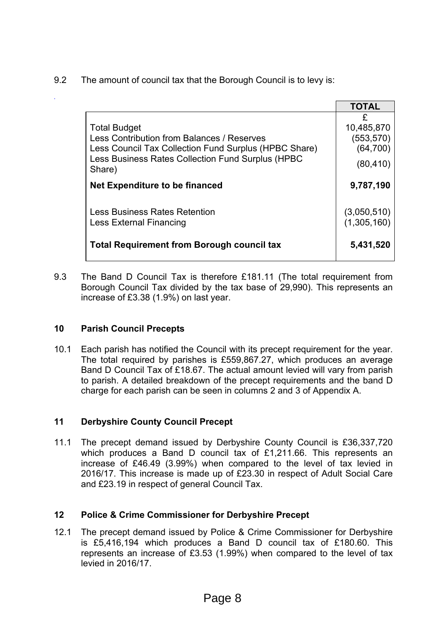9.2 The amount of council tax that the Borough Council is to levy is:

|                                                                                                                                                                                           | <b>TOTAL</b>                                            |
|-------------------------------------------------------------------------------------------------------------------------------------------------------------------------------------------|---------------------------------------------------------|
| <b>Total Budget</b><br>Less Contribution from Balances / Reserves<br>Less Council Tax Collection Fund Surplus (HPBC Share)<br>Less Business Rates Collection Fund Surplus (HPBC<br>Share) | £<br>10,485,870<br>(553, 570)<br>(64, 700)<br>(80, 410) |
| Net Expenditure to be financed                                                                                                                                                            | 9,787,190                                               |
| <b>Less Business Rates Retention</b><br><b>Less External Financing</b>                                                                                                                    | (3,050,510)<br>(1,305,160)                              |
| <b>Total Requirement from Borough council tax</b>                                                                                                                                         | 5,431,520                                               |

9.3 The Band D Council Tax is therefore £181.11 (The total requirement from Borough Council Tax divided by the tax base of 29,990). This represents an increase of £3.38 (1.9%) on last year.

## **10 Parish Council Precepts**

*.*

10.1 Each parish has notified the Council with its precept requirement for the year. The total required by parishes is £559,867.27, which produces an average Band D Council Tax of £18.67. The actual amount levied will vary from parish to parish. A detailed breakdown of the precept requirements and the band D charge for each parish can be seen in columns 2 and 3 of Appendix A.

## **11 Derbyshire County Council Precept**

11.1 The precept demand issued by Derbyshire County Council is £36,337,720 which produces a Band D council tax of £1,211.66. This represents an increase of £46.49 (3.99%) when compared to the level of tax levied in 2016/17. This increase is made up of £23.30 in respect of Adult Social Care and £23.19 in respect of general Council Tax.

## **12 Police & Crime Commissioner for Derbyshire Precept**

12.1 The precept demand issued by Police & Crime Commissioner for Derbyshire is £5,416,194 which produces a Band D council tax of £180.60. This represents an increase of £3.53 (1.99%) when compared to the level of tax levied in 2016/17.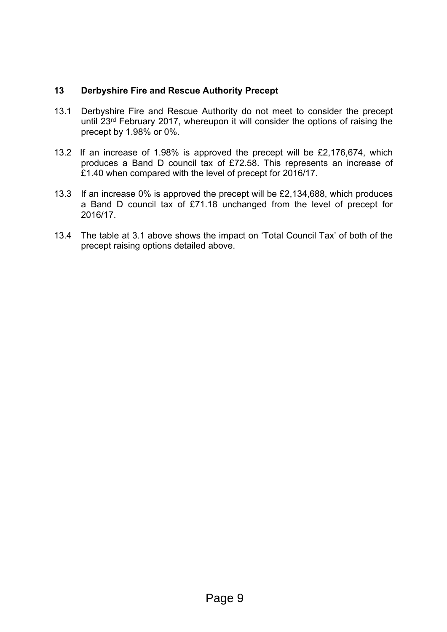#### **13 Derbyshire Fire and Rescue Authority Precept**

- 13.1 Derbyshire Fire and Rescue Authority do not meet to consider the precept until 23rd February 2017, whereupon it will consider the options of raising the precept by 1.98% or 0%.
- 13.2 If an increase of 1.98% is approved the precept will be £2,176,674, which produces a Band D council tax of £72.58. This represents an increase of £1.40 when compared with the level of precept for 2016/17.
- 13.3 If an increase 0% is approved the precept will be £2,134,688, which produces a Band D council tax of £71.18 unchanged from the level of precept for 2016/17.
- 13.4 The table at 3.1 above shows the impact on 'Total Council Tax' of both of the precept raising options detailed above.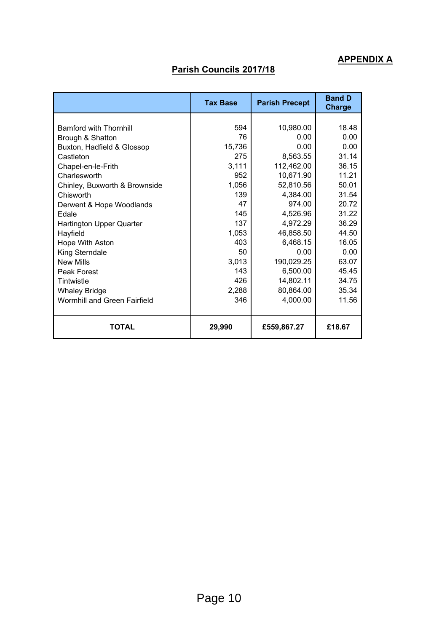## **APPENDIX A**

## **Parish Councils 2017/18**

|                                     | <b>Tax Base</b> | <b>Parish Precept</b> | <b>Band D</b><br><b>Charge</b> |  |
|-------------------------------------|-----------------|-----------------------|--------------------------------|--|
|                                     |                 |                       |                                |  |
| <b>Bamford with Thornhill</b>       | 594             | 10,980.00             | 18.48                          |  |
| Brough & Shatton                    | 76              | 0.00                  | 0.00                           |  |
| Buxton, Hadfield & Glossop          | 15,736          | 0.00                  | 0.00                           |  |
| Castleton                           | 275             | 8,563.55              | 31.14                          |  |
| Chapel-en-le-Frith                  | 3,111           | 112,462.00            | 36.15                          |  |
| Charlesworth                        | 952             | 10,671.90             | 11.21                          |  |
| Chinley, Buxworth & Brownside       | 1,056           | 52,810.56             | 50.01                          |  |
| Chisworth                           | 139             | 4,384.00              | 31.54                          |  |
| Derwent & Hope Woodlands            | 47              | 974.00                | 20.72                          |  |
| Edale                               | 145             | 4,526.96              | 31.22                          |  |
| <b>Hartington Upper Quarter</b>     | 137             | 4,972.29              | 36.29                          |  |
| Hayfield                            | 1,053           | 46,858.50             | 44.50                          |  |
| Hope With Aston                     | 403             | 6,468.15              | 16.05                          |  |
| King Sterndale                      | 50              | 0.00                  | 0.00                           |  |
| <b>New Mills</b>                    | 3,013           | 190,029.25            | 63.07                          |  |
| Peak Forest                         | 143             | 6,500.00              | 45.45                          |  |
| Tintwistle                          | 426             | 14,802.11             | 34.75                          |  |
| <b>Whaley Bridge</b>                | 2,288           | 80,864.00             | 35.34                          |  |
| <b>Wormhill and Green Fairfield</b> | 346             | 4,000.00              | 11.56                          |  |
| <b>TOTAL</b>                        | 29,990          | £559,867.27           | £18.67                         |  |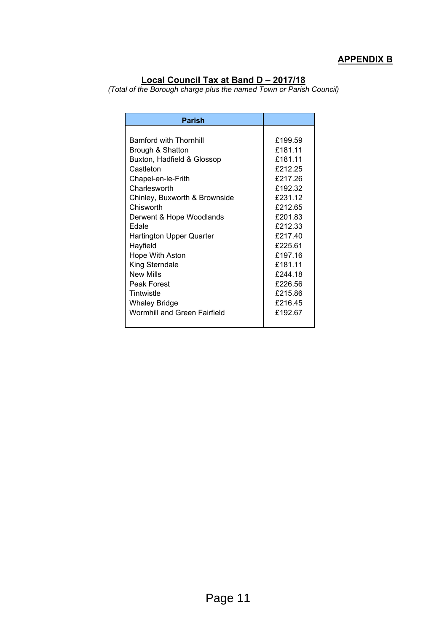## **APPENDIX B**

#### **Local Council Tax at Band D – 2017/18**

*(Total of the Borough charge plus the named Town or Parish Council)*

| <b>Parish</b>                       |         |
|-------------------------------------|---------|
|                                     |         |
| <b>Bamford with Thornhill</b>       | £199.59 |
| Brough & Shatton                    | £181.11 |
| Buxton, Hadfield & Glossop          | £181.11 |
| Castleton                           | £212.25 |
| Chapel-en-le-Frith                  | £217.26 |
| Charlesworth                        | £192.32 |
| Chinley, Buxworth & Brownside       | £231.12 |
| Chisworth                           | £212.65 |
| Derwent & Hope Woodlands            | £201.83 |
| Edale                               | £212.33 |
| Hartington Upper Quarter            | £217.40 |
| Hayfield                            | £225.61 |
| Hope With Aston                     | £197.16 |
| King Sterndale                      | £181.11 |
| <b>New Mills</b>                    | £244.18 |
| Peak Forest                         | £226.56 |
| Tintwistle                          | £215.86 |
| Whaley Bridge                       | £216.45 |
| <b>Wormhill and Green Fairfield</b> | £192.67 |
|                                     |         |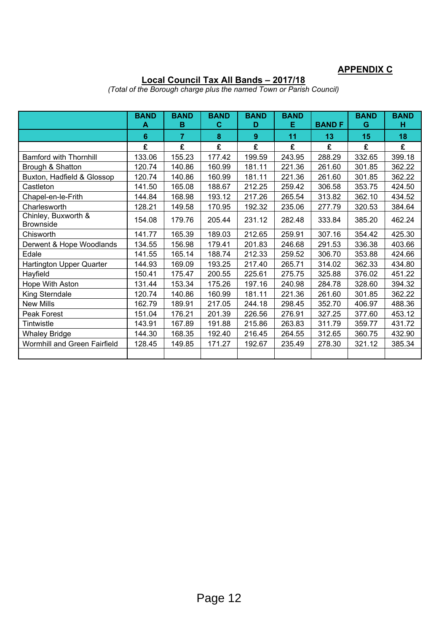## **APPENDIX C**

#### **Local Council Tax All Bands – 2017/18**

|                                         | <b>BAND</b><br>A | <b>BAND</b><br>B | <b>BAND</b><br>C | <b>BAND</b><br>D | <b>BAND</b><br>Е | <b>BANDF</b> | <b>BAND</b><br>G | <b>BAND</b><br>н |
|-----------------------------------------|------------------|------------------|------------------|------------------|------------------|--------------|------------------|------------------|
|                                         | 6                | $\overline{7}$   | 8                | 9                | 11               | 13           | 15               | 18               |
|                                         | £                | £                | £                | £                | £                | £            | £                | £                |
| <b>Bamford with Thornhill</b>           | 133.06           | 155.23           | 177.42           | 199.59           | 243.95           | 288.29       | 332.65           | 399.18           |
| Brough & Shatton                        | 120.74           | 140.86           | 160.99           | 181.11           | 221.36           | 261.60       | 301.85           | 362.22           |
| Buxton, Hadfield & Glossop              | 120.74           | 140.86           | 160.99           | 181.11           | 221.36           | 261.60       | 301.85           | 362.22           |
| Castleton                               | 141.50           | 165.08           | 188.67           | 212.25           | 259.42           | 306.58       | 353.75           | 424.50           |
| Chapel-en-le-Frith                      | 144.84           | 168.98           | 193.12           | 217.26           | 265.54           | 313.82       | 362.10           | 434.52           |
| Charlesworth                            | 128.21           | 149.58           | 170.95           | 192.32           | 235.06           | 277.79       | 320.53           | 384.64           |
| Chinley, Buxworth &<br><b>Brownside</b> | 154.08           | 179.76           | 205.44           | 231.12           | 282.48           | 333.84       | 385.20           | 462.24           |
| Chisworth                               | 141.77           | 165.39           | 189.03           | 212.65           | 259.91           | 307.16       | 354.42           | 425.30           |
| Derwent & Hope Woodlands                | 134.55           | 156.98           | 179.41           | 201.83           | 246.68           | 291.53       | 336.38           | 403.66           |
| Edale                                   | 141.55           | 165.14           | 188.74           | 212.33           | 259.52           | 306.70       | 353.88           | 424.66           |
| Hartington Upper Quarter                | 144.93           | 169.09           | 193.25           | 217.40           | 265.71           | 314.02       | 362.33           | 434.80           |
| Hayfield                                | 150.41           | 175.47           | 200.55           | 225.61           | 275.75           | 325.88       | 376.02           | 451.22           |
| Hope With Aston                         | 131.44           | 153.34           | 175.26           | 197.16           | 240.98           | 284.78       | 328.60           | 394.32           |
| King Sterndale                          | 120.74           | 140.86           | 160.99           | 181.11           | 221.36           | 261.60       | 301.85           | 362.22           |
| <b>New Mills</b>                        | 162.79           | 189.91           | 217.05           | 244.18           | 298.45           | 352.70       | 406.97           | 488.36           |
| Peak Forest                             | 151.04           | 176.21           | 201.39           | 226.56           | 276.91           | 327.25       | 377.60           | 453.12           |
| Tintwistle                              | 143.91           | 167.89           | 191.88           | 215.86           | 263.83           | 311.79       | 359.77           | 431.72           |
| <b>Whaley Bridge</b>                    | 144.30           | 168.35           | 192.40           | 216.45           | 264.55           | 312.65       | 360.75           | 432.90           |
| Wormhill and Green Fairfield            | 128.45           | 149.85           | 171.27           | 192.67           | 235.49           | 278.30       | 321.12           | 385.34           |
|                                         |                  |                  |                  |                  |                  |              |                  |                  |

*(Total of the Borough charge plus the named Town or Parish Council)*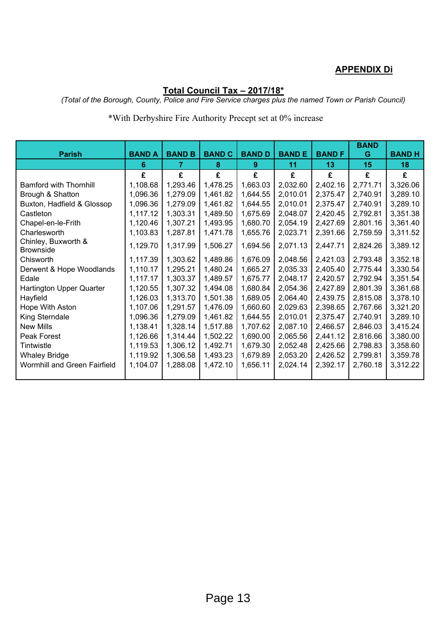## **APPENDIX Di**

## **Total Council Tax – 2017/18\***

*(Total of the Borough, County, Police and Fire Service charges plus the named Town or Parish Council)*

## \*With Derbyshire Fire Authority Precept set at 0% increase

|                                         |               |               |               |               |              |              | <b>BAND</b> |              |
|-----------------------------------------|---------------|---------------|---------------|---------------|--------------|--------------|-------------|--------------|
| <b>Parish</b>                           | <b>BAND A</b> | <b>BAND B</b> | <b>BAND C</b> | <b>BAND D</b> | <b>BANDE</b> | <b>BANDF</b> | G           | <b>BANDH</b> |
|                                         | 6             | 7             | 8             | 9.            | 11           | 13           | 15          | 18           |
|                                         | £             | £             | £             | £             | £            | £            | £           | £            |
| <b>Bamford with Thornhill</b>           | 1,108.68      | 1,293.46      | 1,478.25      | 1,663.03      | 2,032.60     | 2,402.16     | 2,771.71    | 3,326.06     |
| Brough & Shatton                        | 1,096.36      | 1,279.09      | 1,461.82      | 1,644.55      | 2,010.01     | 2,375.47     | 2,740.91    | 3,289.10     |
| Buxton, Hadfield & Glossop              | 1,096.36      | 1,279.09      | 1,461.82      | 1,644.55      | 2,010.01     | 2,375.47     | 2,740.91    | 3,289.10     |
| Castleton                               | 1,117.12      | 1,303.31      | 1,489.50      | 1,675.69      | 2,048.07     | 2,420.45     | 2,792.81    | 3,351.38     |
| Chapel-en-le-Frith                      | 1,120.46      | 1,307.21      | 1,493.95      | 1,680.70      | 2,054.19     | 2,427.69     | 2,801.16    | 3,361.40     |
| Charlesworth                            | 1,103.83      | 1,287.81      | 1,471.78      | 1,655.76      | 2,023.71     | 2,391.66     | 2,759.59    | 3,311.52     |
| Chinley, Buxworth &<br><b>Brownside</b> | 1,129.70      | 1,317.99      | 1,506.27      | 1,694.56      | 2,071.13     | 2,447.71     | 2,824.26    | 3,389.12     |
| Chisworth                               | 1,117.39      | 1,303.62      | 1,489.86      | 1,676.09      | 2,048.56     | 2,421.03     | 2,793.48    | 3,352.18     |
| Derwent & Hope Woodlands                | 1,110.17      | 1,295.21      | 1,480.24      | 1,665.27      | 2,035.33     | 2,405.40     | 2,775.44    | 3,330.54     |
| Edale                                   | 1,117.17      | 1,303.37      | 1,489.57      | 1,675.77      | 2,048.17     | 2,420.57     | 2,792.94    | 3,351.54     |
| Hartington Upper Quarter                | 1,120.55      | 1,307.32      | 1,494.08      | 1,680.84      | 2,054.36     | 2,427.89     | 2,801.39    | 3,361.68     |
| Hayfield                                | 1,126.03      | 1,313.70      | 1,501.38      | 1,689.05      | 2,064.40     | 2,439.75     | 2,815.08    | 3,378.10     |
| Hope With Aston                         | 1,107.06      | 1,291.57      | 1,476.09      | 1,660.60      | 2,029.63     | 2,398.65     | 2,767.66    | 3,321.20     |
| King Sterndale                          | 1,096.36      | 1,279.09      | 1,461.82      | 1,644.55      | 2,010.01     | 2,375.47     | 2,740.91    | 3,289.10     |
| <b>New Mills</b>                        | 1,138.41      | 1,328.14      | 1,517.88      | 1,707.62      | 2,087.10     | 2,466.57     | 2,846.03    | 3,415.24     |
| Peak Forest                             | 1,126.66      | 1,314.44      | 1,502.22      | 1,690.00      | 2,065.56     | 2,441.12     | 2,816.66    | 3,380.00     |
| Tintwistle                              | 1,119.53      | 1,306.12      | 1,492.71      | 1,679.30      | 2,052.48     | 2,425.66     | 2,798.83    | 3,358.60     |
| <b>Whaley Bridge</b>                    | 1,119.92      | 1,306.58      | 1,493.23      | 1,679.89      | 2,053.20     | 2,426.52     | 2,799.81    | 3,359.78     |
| Wormhill and Green Fairfield            | 1,104.07      | 1,288.08      | 1,472.10      | 1,656.11      | 2,024.14     | 2,392.17     | 2,760.18    | 3,312.22     |